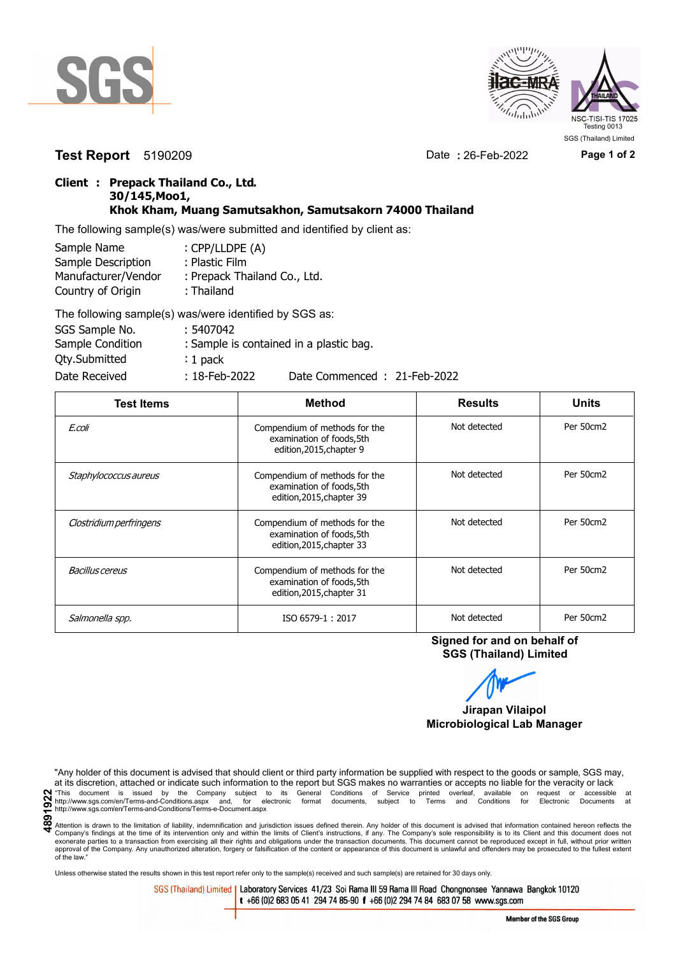



**Test Report** 5190209 Date **:** 26-Feb-2022 **Page 1 of 2**

## **Client : Prepack Thailand Co., Ltd. 30/145,Moo1, Khok Kham, Muang Samutsakhon, Samutsakorn 74000 Thailand**

The following sample(s) was/were submitted and identified by client as:

| Sample Name         | : CPP/LLDPE (A)              |
|---------------------|------------------------------|
| Sample Description  | : Plastic Film               |
| Manufacturer/Vendor | : Prepack Thailand Co., Ltd. |
| Country of Origin   | : Thailand                   |
|                     |                              |

| The following sample(s) was/were identified by SGS as: |                  |                                         |
|--------------------------------------------------------|------------------|-----------------------------------------|
| SGS Sample No.                                         | : 5407042        |                                         |
| Sample Condition                                       |                  | : Sample is contained in a plastic bag. |
| <b>Qty.Submitted</b>                                   | $: 1$ pack       |                                         |
| Date Received                                          | $: 18$ -Feb-2022 | Date Commenced: 21-Feb-2022             |

| <b>Test Items</b>       | <b>Method</b>                                                                           | <b>Results</b> | <b>Units</b> |
|-------------------------|-----------------------------------------------------------------------------------------|----------------|--------------|
| E.coli                  | Compendium of methods for the<br>examination of foods, 5th<br>edition, 2015, chapter 9  | Not detected   | Per 50cm2    |
| Staphylococcus aureus   | Compendium of methods for the<br>examination of foods, 5th<br>edition, 2015, chapter 39 | Not detected   | Per 50cm2    |
| Clostridium perfringens | Compendium of methods for the<br>examination of foods, 5th<br>edition, 2015, chapter 33 | Not detected   | Per 50cm2    |
| Bacillus cereus         | Compendium of methods for the<br>examination of foods, 5th<br>edition, 2015, chapter 31 | Not detected   | Per 50cm2    |
| Salmonella spp.         | ISO 6579-1: 2017                                                                        | Not detected   | Per 50cm2    |

**Signed for and on behalf of SGS (Thailand) Limited**

**Jirapan Vilaipol**

**Microbiological Lab Manager**

"Any holder of this document is advised that should client or third party information be supplied with respect to the goods or sample, SGS may, at its discretion, attached or indicate such information to the report but SGS makes no warranties or accepts no liable for the veracity or lack **4891922**"This document is issued by the Company subject to its General Conditions of Service printed overleaf, available on request or accessible at http://www.sgs.com/en/Terms-and-Conditions.aspx and, for electronic format documents, subject to Terms and Conditions for Electronic Documents at http://www.sgs.com/en/Terms-and-Conditions/Terms-e-Document.aspx

Unless otherwise stated the results shown in this test report refer only to the sample(s) received and such sample(s) are retained for 30 days only.

SGS (Thailand) Limited | Laboratory Services 41/23 Soi Rama III 59 Rama III Road Chongnonsee Yannawa Bangkok 10120 t +66 (0)2 683 05 41 294 74 85-90 f +66 (0)2 294 74 84 683 07 58 www.sgs.com